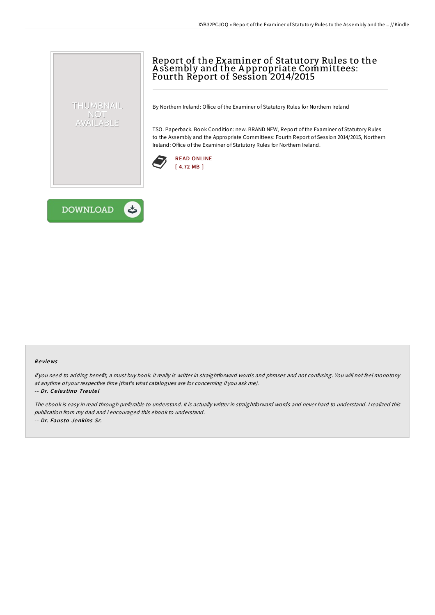## Report of the Examiner of Statutory Rules to the A ssembly and the A ppropriate Committees: Fourth Report of Session 2014/2015

By Northern Ireland: Office of the Examiner of Statutory Rules for Northern Ireland

TSO. Paperback. Book Condition: new. BRAND NEW, Report of the Examiner of Statutory Rules to the Assembly and the Appropriate Committees: Fourth Report of Session 2014/2015, Northern Ireland: Office of the Examiner of Statutory Rules for Northern Ireland.





THUMBNAIL NOT AVAILABLE

## Re views

If you need to adding benefit, <sup>a</sup> must buy book. It really is writter in straightforward words and phrases and not confusing. You will not feel monotony at anytime of your respective time (that's what catalogues are for concerning if you ask me).

## -- Dr. Ce le s tino Treute l

The ebook is easy in read through preferable to understand. It is actually writter in straightforward words and never hard to understand. I realized this publication from my dad and i encouraged this ebook to understand. -- Dr. Fausto Jenkins Sr.